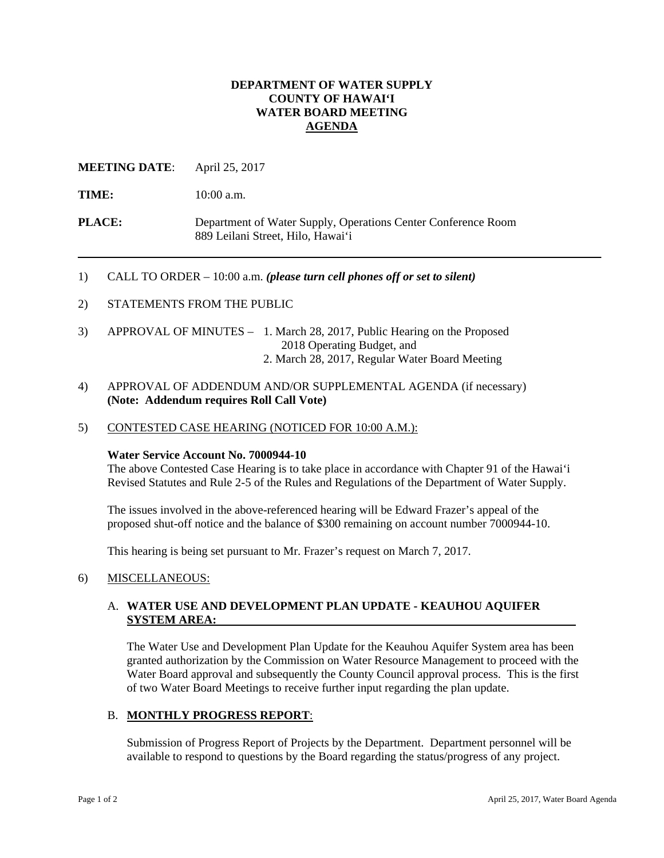## **DEPARTMENT OF WATER SUPPLY COUNTY OF HAWAI'I WATER BOARD MEETING AGENDA**

## **MEETING DATE**: April 25, 2017

TIME: 10:00 a.m.

**PLACE:** Department of Water Supply, Operations Center Conference Room 889 Leilani Street, Hilo, Hawai'i

#### 1) CALL TO ORDER – 10:00 a.m. *(please turn cell phones off or set to silent)*

- 2) STATEMENTS FROM THE PUBLIC
- 3) APPROVAL OF MINUTES 1. March 28, 2017, Public Hearing on the Proposed 2018 Operating Budget, and 2. March 28, 2017, Regular Water Board Meeting
- 4) APPROVAL OF ADDENDUM AND/OR SUPPLEMENTAL AGENDA (if necessary) **(Note: Addendum requires Roll Call Vote)**
- 5) CONTESTED CASE HEARING (NOTICED FOR 10:00 A.M.):

#### **Water Service Account No. 7000944-10**

The above Contested Case Hearing is to take place in accordance with Chapter 91 of the Hawai'i Revised Statutes and Rule 2-5 of the Rules and Regulations of the Department of Water Supply.

The issues involved in the above-referenced hearing will be Edward Frazer's appeal of the proposed shut-off notice and the balance of \$300 remaining on account number 7000944-10.

This hearing is being set pursuant to Mr. Frazer's request on March 7, 2017.

#### 6) MISCELLANEOUS:

#### A. **WATER USE AND DEVELOPMENT PLAN UPDATE - KEAUHOU AQUIFER SYSTEM AREA:**

The Water Use and Development Plan Update for the Keauhou Aquifer System area has been granted authorization by the Commission on Water Resource Management to proceed with the Water Board approval and subsequently the County Council approval process. This is the first of two Water Board Meetings to receive further input regarding the plan update.

## B. **MONTHLY PROGRESS REPORT**:

Submission of Progress Report of Projects by the Department. Department personnel will be available to respond to questions by the Board regarding the status/progress of any project.